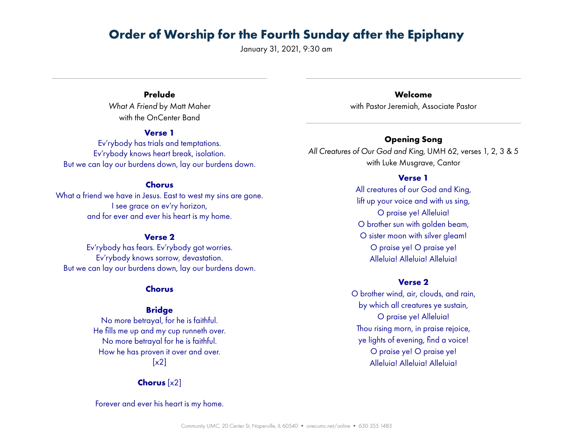January 31, 2021, 9:30 am

## **Prelude**

*What A Friend* by Matt Maher with the OnCenter Band

## **Verse 1**

Ev'rybody has trials and temptations. Ev'rybody knows heart break, isolation. But we can lay our burdens down, lay our burdens down.

#### **Chorus**

What a friend we have in Jesus. East to west my sins are gone. I see grace on ev'ry horizon, and for ever and ever his heart is my home.

#### **Verse 2**

Ev'rybody has fears. Ev'rybody got worries. Ev'rybody knows sorrow, devastation. But we can lay our burdens down, lay our burdens down.

#### **Chorus**

#### **Bridge**

No more betrayal, for he is faithful. He fills me up and my cup runneth over. No more betrayal for he is faithful. How he has proven it over and over. [x2]

### **Chorus** [x2]

Forever and ever his heart is my home.

**Welcome** with Pastor Jeremiah, Associate Pastor

# **Opening Song**

*All Creatures of Our God and King,* UMH 62, verses 1, 2, 3 & 5 with Luke Musgrave, Cantor

### **Verse 1**

All creatures of our God and King, lift up your voice and with us sing, O praise ye! Alleluia! O brother sun with golden beam, O sister moon with silver gleam! O praise ye! O praise ye! Alleluia! Alleluia! Alleluia!

#### **Verse 2**

O brother wind, air, clouds, and rain, by which all creatures ye sustain, O praise ye! Alleluia! Thou rising morn, in praise rejoice, ye lights of evening, find a voice! O praise ye! O praise ye! Alleluia! Alleluia! Alleluia!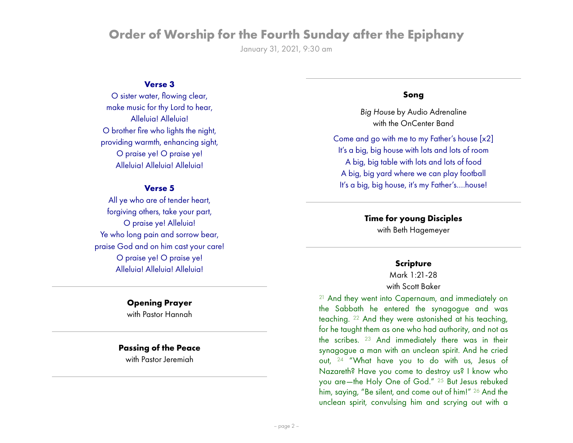January 31, 2021, 9:30 am

#### **Verse 3**

O sister water, flowing clear, make music for thy Lord to hear, Alleluia! Alleluia! O brother fire who lights the night, providing warmth, enhancing sight, O praise ye! O praise ye! Alleluia! Alleluia! Alleluia!

#### **Verse 5**

All ye who are of tender heart, forgiving others, take your part, O praise ye! Alleluia! Ye who long pain and sorrow bear, praise God and on him cast your care! O praise ye! O praise ye! Alleluia! Alleluia! Alleluia!

#### **Opening Prayer**

with Pastor Hannah

#### **Passing of the Peace**

with Pastor Jeremiah

## **Song**

*Big House* by Audio Adrenaline with the OnCenter Band

Come and go with me to my Father's house [x2] It's a big, big house with lots and lots of room A big, big table with lots and lots of food A big, big yard where we can play football It's a big, big house, it's my Father's….house!

**Time for young Disciples**

with Beth Hagemeyer

#### **Scripture**

Mark 1:21-28 with Scott Baker

<sup>21</sup> And they went into Capernaum, and immediately on the Sabbath he entered the synagogue and was teaching. 22 And they were astonished at his teaching, for he taught them as one who had authority, and not as the scribes. 23 And immediately there was in their synagogue a man with an unclean spirit. And he cried out, 24 "What have you to do with us, Jesus of Nazareth? Have you come to destroy us? I know who you are—the Holy One of God." 25 But Jesus rebuked him, saying, "Be silent, and come out of him!" 26 And the unclean spirit, convulsing him and scrying out with a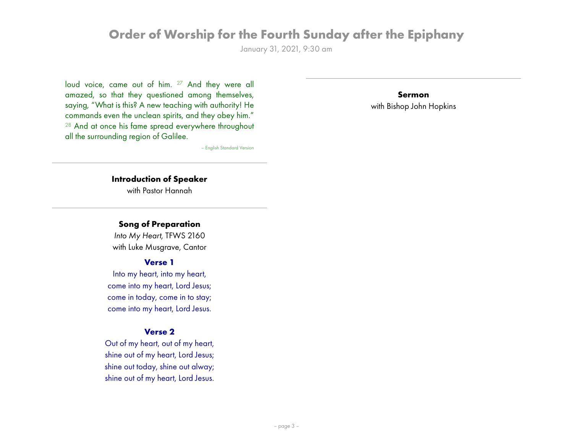January 31, 2021, 9:30 am

loud voice, came out of him. <sup>27</sup> And they were all amazed, so that they questioned among themselves, saying, "What is this? A new teaching with authority! He commands even the unclean spirits, and they obey him." <sup>28</sup> And at once his fame spread everywhere throughout all the surrounding region of Galilee.

– English Standard Version

**Introduction of Speaker**

with Pastor Hannah

## **Song of Preparation**

*Into My Heart*, TFWS 2160 with Luke Musgrave, Cantor

#### **Verse 1**

Into my heart, into my heart, come into my heart, Lord Jesus; come in today, come in to stay; come into my heart, Lord Jesus.

#### **Verse 2**

Out of my heart, out of my heart, shine out of my heart, Lord Jesus; shine out today, shine out alway; shine out of my heart, Lord Jesus.

**Sermon** with Bishop John Hopkins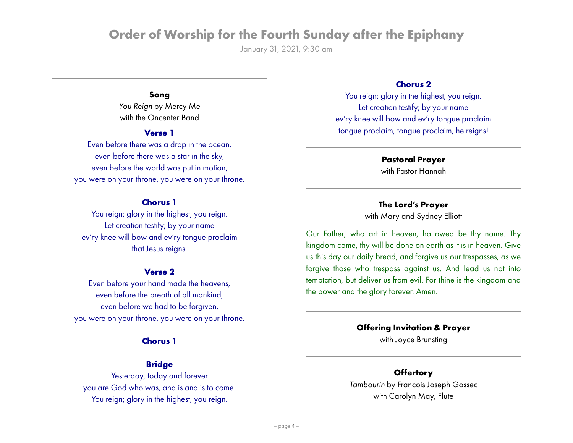January 31, 2021, 9:30 am

## **Song**

*You Reign* by Mercy Me with the Oncenter Band

### **Verse 1**

Even before there was a drop in the ocean, even before there was a star in the sky, even before the world was put in motion, you were on your throne, you were on your throne.

### **Chorus 1**

You reign; glory in the highest, you reign. Let creation testify; by your name ev'ry knee will bow and ev'ry tongue proclaim that Jesus reigns.

#### **Verse 2**

Even before your hand made the heavens, even before the breath of all mankind, even before we had to be forgiven, you were on your throne, you were on your throne.

### **Chorus 1**

## **Bridge**

Yesterday, today and forever you are God who was, and is and is to come. You reign; glory in the highest, you reign.

## **Chorus 2**

You reign; glory in the highest, you reign. Let creation testify; by your name ev'ry knee will bow and ev'ry tongue proclaim tongue proclaim, tongue proclaim, he reigns!

### **Pastoral Prayer** with Pastor Hannah

## **The Lord's Prayer**

with Mary and Sydney Elliott

Our Father, who art in heaven, hallowed be thy name. Thy kingdom come, thy will be done on earth as it is in heaven. Give us this day our daily bread, and forgive us our trespasses, as we forgive those who trespass against us. And lead us not into temptation, but deliver us from evil. For thine is the kingdom and the power and the glory forever. Amen.

# **Offering Invitation & Prayer**

with Joyce Brunsting

#### **Offertory**

*Tambourin* by Francois Joseph Gossec with Carolyn May, Flute